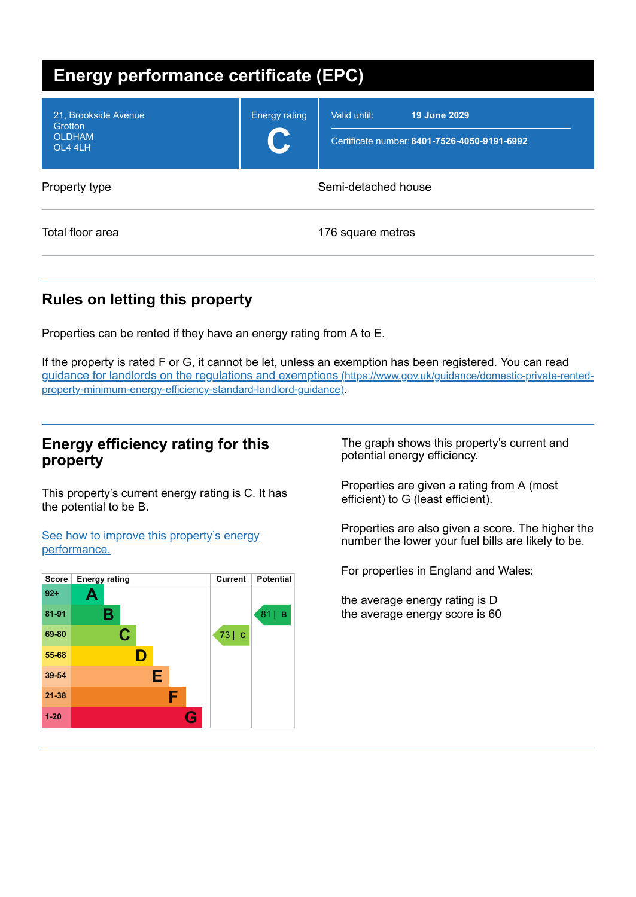| Energy performance certificate (EPC)                        |                            |                                                                              |
|-------------------------------------------------------------|----------------------------|------------------------------------------------------------------------------|
| 21, Brookside Avenue<br>Grotton<br><b>OLDHAM</b><br>OL4 4LH | <b>Energy rating</b><br>U. | 19 June 2029<br>Valid until:<br>Certificate number: 8401-7526-4050-9191-6992 |
| Property type                                               | Semi-detached house        |                                                                              |
| Total floor area                                            |                            | 176 square metres                                                            |

# **Rules on letting this property**

Properties can be rented if they have an energy rating from A to E.

If the property is rated F or G, it cannot be let, unless an exemption has been registered. You can read guidance for landlords on the regulations and exemptions (https://www.gov.uk/guidance/domestic-private-rented[property-minimum-energy-efficiency-standard-landlord-guidance\)](https://www.gov.uk/guidance/domestic-private-rented-property-minimum-energy-efficiency-standard-landlord-guidance).

## **Energy efficiency rating for this property**

This property's current energy rating is C. It has the potential to be B.

See how to improve this property's energy [performance.](#page-2-0)



The graph shows this property's current and potential energy efficiency.

Properties are given a rating from A (most efficient) to G (least efficient).

Properties are also given a score. The higher the number the lower your fuel bills are likely to be.

For properties in England and Wales:

the average energy rating is D the average energy score is 60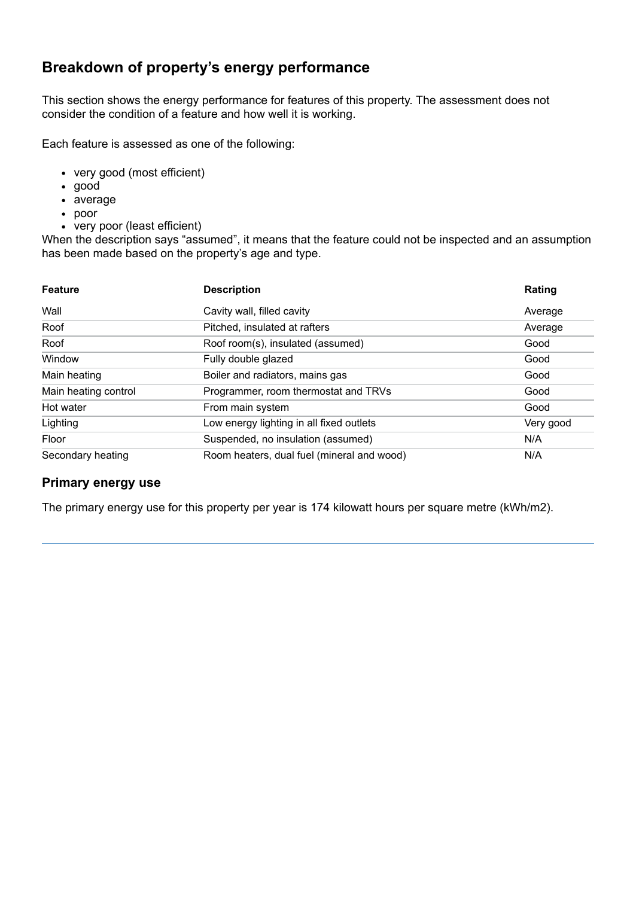# **Breakdown of property's energy performance**

This section shows the energy performance for features of this property. The assessment does not consider the condition of a feature and how well it is working.

Each feature is assessed as one of the following:

- very good (most efficient)
- good
- average
- poor
- very poor (least efficient)

When the description says "assumed", it means that the feature could not be inspected and an assumption has been made based on the property's age and type.

| <b>Feature</b>       | <b>Description</b>                         | Rating    |
|----------------------|--------------------------------------------|-----------|
| Wall                 | Cavity wall, filled cavity                 | Average   |
| Roof                 | Pitched, insulated at rafters              | Average   |
| Roof                 | Roof room(s), insulated (assumed)          | Good      |
| Window               | Fully double glazed                        | Good      |
| Main heating         | Boiler and radiators, mains gas            | Good      |
| Main heating control | Programmer, room thermostat and TRVs       | Good      |
| Hot water            | From main system                           | Good      |
| Lighting             | Low energy lighting in all fixed outlets   | Very good |
| Floor                | Suspended, no insulation (assumed)         | N/A       |
| Secondary heating    | Room heaters, dual fuel (mineral and wood) | N/A       |

### **Primary energy use**

The primary energy use for this property per year is 174 kilowatt hours per square metre (kWh/m2).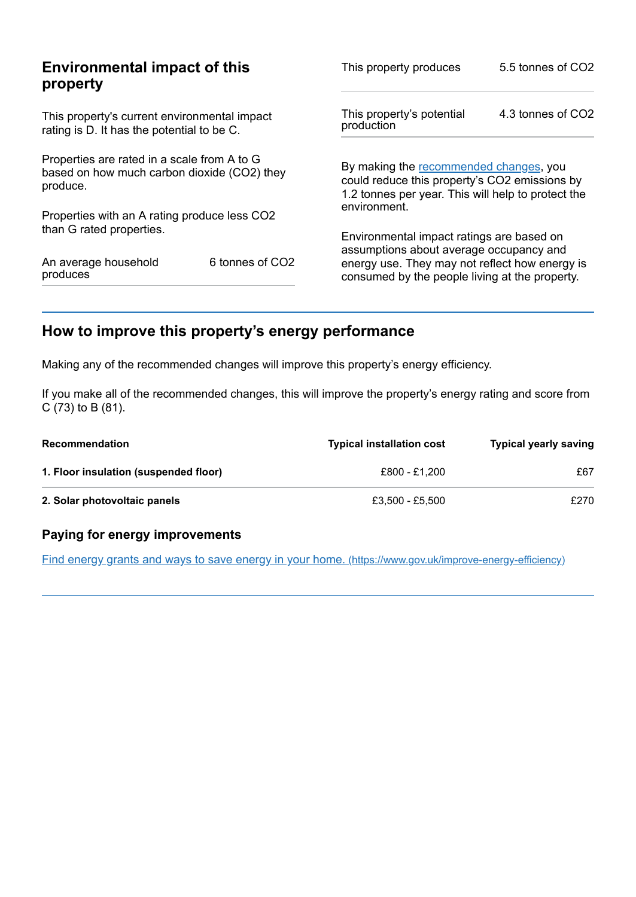|                                                                                                        | This property produces                                                                           | 5.5 tonnes of CO2                                                                                                                               |  |
|--------------------------------------------------------------------------------------------------------|--------------------------------------------------------------------------------------------------|-------------------------------------------------------------------------------------------------------------------------------------------------|--|
| This property's current environmental impact<br>rating is D. It has the potential to be C.             |                                                                                                  | 4.3 tonnes of CO2                                                                                                                               |  |
| Properties are rated in a scale from A to G<br>based on how much carbon dioxide (CO2) they<br>produce. |                                                                                                  | By making the recommended changes, you<br>could reduce this property's CO2 emissions by<br>1.2 tonnes per year. This will help to protect the   |  |
|                                                                                                        |                                                                                                  |                                                                                                                                                 |  |
|                                                                                                        |                                                                                                  |                                                                                                                                                 |  |
| 6 tonnes of CO <sub>2</sub>                                                                            | energy use. They may not reflect how energy is<br>consumed by the people living at the property. |                                                                                                                                                 |  |
|                                                                                                        | <b>Environmental impact of this</b><br>Properties with an A rating produce less CO2              | This property's potential<br>production<br>environment.<br>Environmental impact ratings are based on<br>assumptions about average occupancy and |  |

# <span id="page-2-0"></span>**How to improve this property's energy performance**

Making any of the recommended changes will improve this property's energy efficiency.

If you make all of the recommended changes, this will improve the property's energy rating and score from C (73) to B (81).

| <b>Recommendation</b>                 | <b>Typical installation cost</b> | <b>Typical yearly saving</b> |
|---------------------------------------|----------------------------------|------------------------------|
| 1. Floor insulation (suspended floor) | £800 - £1.200                    | £67                          |
| 2. Solar photovoltaic panels          | £3.500 - £5.500                  | £270                         |

### **Paying for energy improvements**

Find energy grants and ways to save energy in your home. [\(https://www.gov.uk/improve-energy-efficiency\)](https://www.gov.uk/improve-energy-efficiency)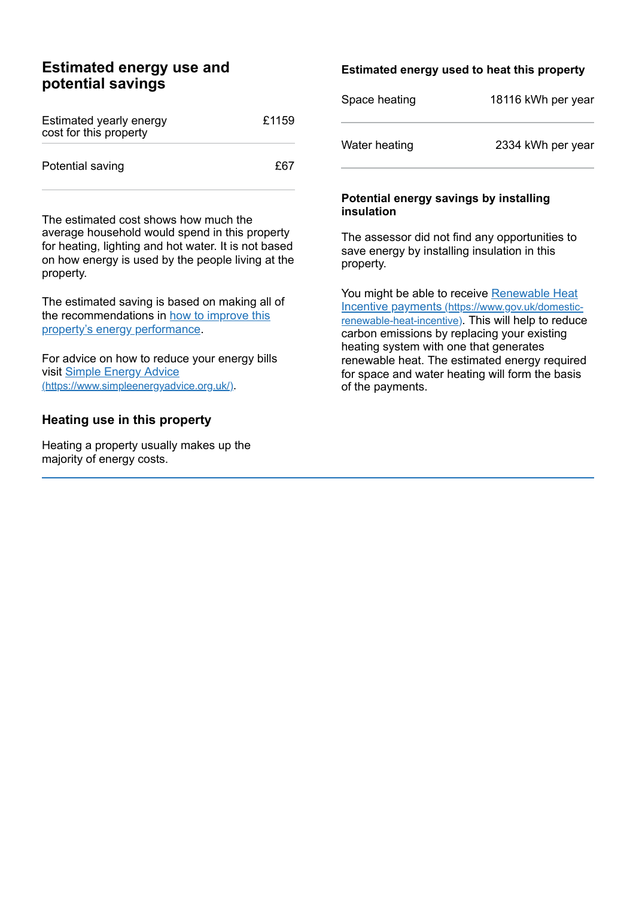## **Estimated energy use and potential savings**

| Estimated yearly energy<br>cost for this property | £1159 |
|---------------------------------------------------|-------|
| Potential saving                                  | £67   |

The estimated cost shows how much the average household would spend in this property for heating, lighting and hot water. It is not based on how energy is used by the people living at the property.

The estimated saving is based on making all of the [recommendations](#page-2-0) in how to improve this property's energy performance.

For advice on how to reduce your energy bills visit Simple Energy Advice [\(https://www.simpleenergyadvice.org.uk/\)](https://www.simpleenergyadvice.org.uk/).

## **Heating use in this property**

Heating a property usually makes up the majority of energy costs.

## **Estimated energy used to heat this property**

| Space heating | 18116 kWh per year |
|---------------|--------------------|
| Water heating | 2334 kWh per year  |

#### **Potential energy savings by installing insulation**

The assessor did not find any opportunities to save energy by installing insulation in this property.

You might be able to receive Renewable Heat Incentive payments [\(https://www.gov.uk/domestic](https://www.gov.uk/domestic-renewable-heat-incentive)renewable-heat-incentive). This will help to reduce carbon emissions by replacing your existing heating system with one that generates renewable heat. The estimated energy required for space and water heating will form the basis of the payments.